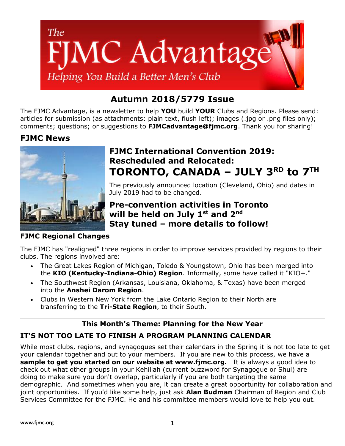

# **Autumn 2018/5779 Issue**

The FJMC Advantage, is a newsletter to help **YOU** build **YOUR** Clubs and Regions. Please send: articles for submission (as attachments: plain text, flush left); images (.jpg or .png files only); comments; questions; or suggestions to **[FJMCadvantage@fjmc.org](mailto:FJMCadvantage@fjmc.org)**. Thank you for sharing!

## **FJMC News**



### **FJMC Regional Changes**

# **FJMC International Convention 2019: Rescheduled and Relocated: TORONTO, CANADA – JULY 3RD to 7TH**

The previously announced location (Cleveland, Ohio) and dates in July 2019 had to be changed.

## **Pre-convention activities in Toronto will be held on July 1st and 2nd Stay tuned – more details to follow!**

The FJMC has "realigned" three regions in order to improve services provided by regions to their clubs. The regions involved are:

- The Great Lakes Region of Michigan, Toledo & Youngstown, Ohio has been merged into the **[KIO \(Kentucky-Indiana-Ohio\) Region](https://www.fjmc.org/content/kentucky-indiana-ohio-kio-region)**. Informally, some have called it "KIO+."
- The Southwest Region (Arkansas, Louisiana, Oklahoma, & Texas) have been merged into the **[Anshei Darom](https://www.fjmc.org/content/anshei-darom-region) Region**.
- Clubs in Western New York from the Lake Ontario Region to their North are transferring to the **[Tri-State Region](https://www.fjmc.org/content/tri-state-region)**, to their South.

### **This Month's Theme: Planning for the New Year**

## **IT'S NOT TOO LATE TO FINISH A PROGRAM PLANNING CALENDAR**

While most clubs, regions, and synagogues set their calendars in the Spring it is not too late to get your calendar together and out to your members. If you are new to this process, we have a **[sample to get you started](http://fjmc.org/content/sample-programming-calendar) on our website at www.fjmc.org.** It is always a good idea to check out what other groups in your Kehillah (current buzzword for Synagogue or Shul) are doing to make sure you don't overlap, particularly if you are both targeting the same demographic. And sometimes when you are, it can create a great opportunity for collaboration and joint opportunities. If you'd like some help, just ask **[Alan Budman](mailto:abudman@fjmc.org?subject=Calendar%20Help)** Chairman of Region and Club Services Committee for the FJMC. He and his committee members would love to help you out.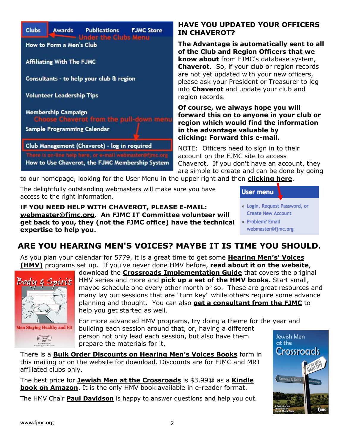

### **HAVE YOU UPDATED YOUR OFFICERS IN CHAVEROT?**

**The Advantage is automatically sent to all of the Club and Region Officers that we know about** from FJMC's database system, **[Chaverot](https://www.fjmc.org/club_details)**. So, if your club or region records are not yet updated with your new officers, please ask your President or Treasurer to log into **[Chaverot](https://www.fjmc.org/club_details)** and update your club and region records.

**Of course, we always hope you will forward this on to anyone in your club or region which would find the information in the advantage valuable by clicking: [Forward this](file://///Users/apple/Dropbox/October%202019%20Dues%20Mailing/%25257baction.forward%25257d) e-mail.**

NOTE: Officers need to sign in to their account on the FJMC site to access Chaverot. If you don't have an account, they are simple to create and can be done by going

to our homepage, looking for the User Menu in the upper right and then **[clicking here](https://fjmc.org/user/register)**.

The delightfully outstanding webmasters will make sure you have access to the right information.

I**F YOU NEED HELP WITH CHAVEROT, PLEASE E-MAIL: [webmaster@fjmc.org.](mailto:webmaster@fjmc.org?subject=Help%20with%20Chaverot) An FJMC IT Committee volunteer will get back to you, they (not the FJMC office) have the technical expertise to help you.**

| <b>User menu</b>             |  |
|------------------------------|--|
| • Login, Request Password, o |  |

- **Create New Account**
- · Problem? Email webmaster@fjmc.org

# **ARE YOU HEARING MEN'S VOICES? MAYBE IT IS TIME YOU SHOULD.**

As you plan your calendar for 5779, it is a great time to get some **[Hearing](https://www.fjmc.org/content/hearing-mens-voices) Men's' Voices [\(HMV\)](https://www.fjmc.org/content/hearing-mens-voices)** programs set up. If you've never done HMV before, **[read about it on the website](https://www.fjmc.org/content/hearing-mens-voices)**,



**Men Staying Healthy and Fit**  $\left(\left(\left(\begin{array}{c}\frac{\text{Hearing}}{\text{Meas}}\right)\right)\right)$ 

download the **Crossroads Implementation Guide** that covers the original HMV series and more and **[pick up a set of the HMV books.](http://fjmc.org/catalog/13)** Start small, maybe schedule one every other month or so. These are great resources and many lay out sessions that are "turn key" while others require some advance planning and thought. You can also **[get a consultant from the FJMC](http://fjmc.org/content/consultants-help-your-club-region)** to help you get started as well.

For more advanced HMV programs, try doing a theme for the year and building each session around that, or, having a different person not only lead each session, but also have them prepare the materials for it. at the

There is a **[Bulk Order Discounts on Hearing Men's Voices Books](https://www.fjmc.org/content/printable-order-forms)** form in this mailing or on the website for download. Discounts are for FJMC and MRJ affiliated clubs only.

The best price for **[Jewish Men at the Crossroads](https://www.fjmc.org/content/jewish-men-crossroads-1)** is \$3.99@ as a **[Kindle](https://amzn.to/2xKMBTv)  [book on Amazon](https://amzn.to/2xKMBTv)**. It is the only HMV book available in e-reader format.

The HMV Chair **[Paul Davidson](mailto:rachexdad@aol.com?subject=Hearing%20Men)** is happy to answer questions and help you out.

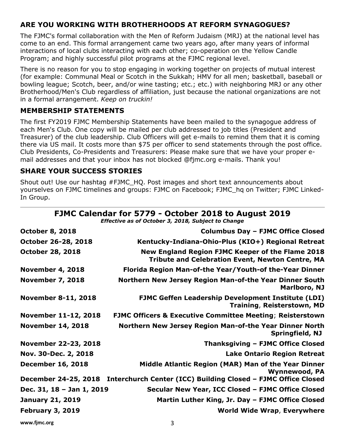### **ARE YOU WORKING WITH BROTHERHOODS AT REFORM SYNAGOGUES?**

The FJMC's formal collaboration with the Men of Reform Judaism (MRJ) at the national level has come to an end. This formal arrangement came two years ago, after many years of informal interactions of local clubs interacting with each other; co-operation on the Yellow Candle Program; and highly successful pilot programs at the FJMC regional level.

There is no reason for you to stop engaging in working together on projects of mutual interest (for example: Communal Meal or Scotch in the Sukkah; HMV for all men; basketball, baseball or bowling league; Scotch, beer, and/or wine tasting; etc.; etc.) with neighboring MRJ or any other Brotherhood/Men's Club regardless of affiliation, just because the national organizations are not in a formal arrangement. *Keep on truckin!*

#### **MEMBERSHIP STATEMENTS**

The first FY2019 FJMC Membership Statements have been mailed to the synagogue address of each Men's Club. One copy will be mailed per club addressed to job titles (President and Treasurer) of the club leadership. Club Officers will get e-mails to remind them that it is coming there via US mail. It costs more than \$75 per officer to send statements through the post office. Club Presidents, Co-Presidents and Treasurers: Please make sure that we have your proper email addresses and that your inbox has not blocked @fjmc.org e-mails. Thank you!

#### **SHARE YOUR SUCCESS STORIES**

Shout out! Use our hashtag #FJMC\_HQ. Post images and short text announcements about yourselves on FJMC timelines and groups: [FJMC on Facebook;](https://www.facebook.com/FJMCHQ) [FJMC\\_hq on Twitter;](https://twitter.com/FJMC_HQ) [FJMC Linked-](https://www.linkedin.com/groups/1817164)[In Group.](https://www.linkedin.com/groups/1817164)

|                             | FJMC Calendar for 5779 - October 2018 to August 2019<br>Effective as of October 3, 2018, Subject to Change  |
|-----------------------------|-------------------------------------------------------------------------------------------------------------|
| <b>October 8, 2018</b>      | <b>Columbus Day - FJMC Office Closed</b>                                                                    |
| October 26-28, 2018         | Kentucky-Indiana-Ohio-Plus (KIO+) Regional Retreat                                                          |
| <b>October 28, 2018</b>     | New England Region FJMC Keeper of the Flame 2018<br><b>Tribute and Celebration Event, Newton Centre, MA</b> |
| <b>November 4, 2018</b>     | Florida Region Man-of-the Year/Youth-of the-Year Dinner                                                     |
| <b>November 7, 2018</b>     | Northern New Jersey Region Man-of-the Year Dinner South<br><b>Marlboro, NJ</b>                              |
| <b>November 8-11, 2018</b>  | <b>FJMC Geffen Leadership Development Institute (LDI)</b><br><b>Training, Reisterstown, MD</b>              |
| <b>November 11-12, 2018</b> | <b>FJMC Officers &amp; Executive Committee Meeting; Reisterstown</b>                                        |
| <b>November 14, 2018</b>    | Northern New Jersey Region Man-of-the Year Dinner North<br>Springfield, NJ                                  |
| <b>November 22-23, 2018</b> | Thanksgiving - FJMC Office Closed                                                                           |
| Nov. 30-Dec. 2, 2018        | <b>Lake Ontario Region Retreat</b>                                                                          |
| <b>December 16, 2018</b>    | Middle Atlantic Region (MAR) Man of the Year Dinner<br><b>Wynnewood, PA</b>                                 |
|                             | December 24-25, 2018 Interchurch Center (ICC) Building Closed - FJMC Office Closed                          |
| Dec. 31, 18 - Jan 1, 2019   | Secular New Year, ICC Closed - FJMC Office Closed                                                           |
| <b>January 21, 2019</b>     | Martin Luther King, Jr. Day - FJMC Office Closed                                                            |
| <b>February 3, 2019</b>     | <b>World Wide Wrap, Everywhere</b>                                                                          |